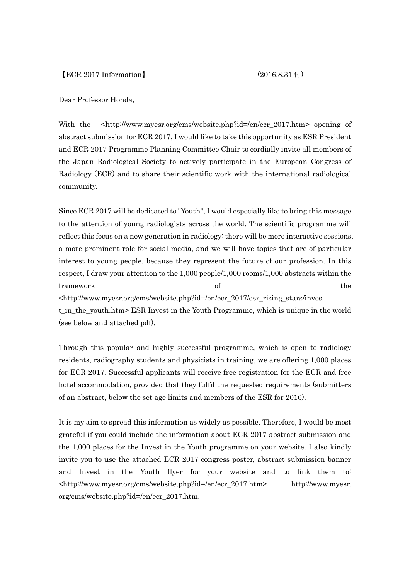Dear Professor Honda,

With the <http://www.myesr.org/cms/website.php?id=/en/ecr\_2017.htm> opening of abstract submission for ECR 2017, I would like to take this opportunity as ESR President and ECR 2017 Programme Planning Committee Chair to cordially invite all members of the Japan Radiological Society to actively participate in the European Congress of Radiology (ECR) and to share their scientific work with the international radiological community.

Since ECR 2017 will be dedicated to "Youth", I would especially like to bring this message to the attention of young radiologists across the world. The scientific programme will reflect this focus on a new generation in radiology: there will be more interactive sessions, a more prominent role for social media, and we will have topics that are of particular interest to young people, because they represent the future of our profession. In this respect, I draw your attention to the 1,000 people/1,000 rooms/1,000 abstracts within the framework the settlement of the settlement of the settlement of the settlement of the settlement of the settlement of the settlement of the settlement of the settlement of the settlement of the settlement of the settlement <http://www.myesr.org/cms/website.php?id=/en/ecr\_2017/esr\_rising\_stars/inves t\_in\_the\_youth.htm> ESR Invest in the Youth Programme, which is unique in the world

(see below and attached pdf).

Through this popular and highly successful programme, which is open to radiology residents, radiography students and physicists in training, we are offering 1,000 places for ECR 2017. Successful applicants will receive free registration for the ECR and free hotel accommodation, provided that they fulfil the requested requirements (submitters of an abstract, below the set age limits and members of the ESR for 2016).

It is my aim to spread this information as widely as possible. Therefore, I would be most grateful if you could include the information about ECR 2017 abstract submission and the 1,000 places for the Invest in the Youth programme on your website. I also kindly invite you to use the attached ECR 2017 congress poster, abstract submission banner and Invest in the Youth flyer for your website and to link them to: <http://www.myesr.org/cms/website.php?id=/en/ecr\_2017.htm> http://www.myesr. org/cms/website.php?id=/en/ecr\_2017.htm.